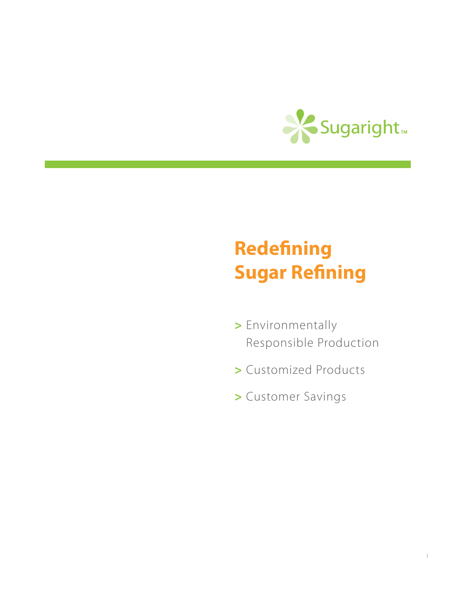

# **Redefining Sugar Refining**

- **>** Environmentally Responsible Production
- **>** Customized Products
- **>** Customer Savings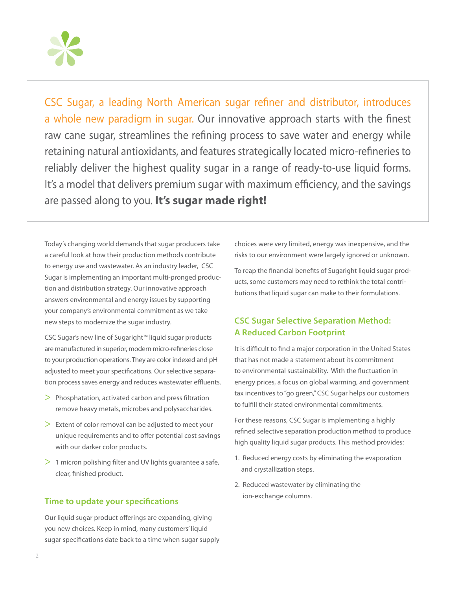

CSC Sugar, a leading North American sugar refiner and distributor, introduces a whole new paradigm in sugar. Our innovative approach starts with the finest raw cane sugar, streamlines the refining process to save water and energy while retaining natural antioxidants, and features strategically located micro-refineries to reliably deliver the highest quality sugar in a range of ready-to-use liquid forms. It's a model that delivers premium sugar with maximum efficiency, and the savings are passed along to you. **It's sugar made right!**

Today's changing world demands that sugar producers take a careful look at how their production methods contribute to energy use and wastewater. As an industry leader, CSC Sugar is implementing an important multi-pronged production and distribution strategy. Our innovative approach answers environmental and energy issues by supporting your company's environmental commitment as we take new steps to modernize the sugar industry.

CSC Sugar's new line of Sugaright™ liquid sugar products are manufactured in superior, modern micro-refineries close to your production operations. They are color indexed and pH adjusted to meet your specifications. Our selective separation process saves energy and reduces wastewater effluents.

- > Phosphatation, activated carbon and press filtration remove heavy metals, microbes and polysaccharides.
- > Extent of color removal can be adjusted to meet your unique requirements and to offer potential cost savings with our darker color products.
- > 1 micron polishing filter and UV lights guarantee a safe, clear, finished product.

#### **Time to update your specifications**

Our liquid sugar product offerings are expanding, giving you new choices. Keep in mind, many customers' liquid sugar specifications date back to a time when sugar supply choices were very limited, energy was inexpensive, and the risks to our environment were largely ignored or unknown.

To reap the financial benefits of Sugaright liquid sugar products, some customers may need to rethink the total contributions that liquid sugar can make to their formulations.

# **CSC Sugar Selective Separation Method: A Reduced Carbon Footprint**

It is difficult to find a major corporation in the United States that has not made a statement about its commitment to environmental sustainability. With the fluctuation in energy prices, a focus on global warming, and government tax incentives to "go green," CSC Sugar helps our customers to fulfill their stated environmental commitments.

For these reasons, CSC Sugar is implementing a highly refined selective separation production method to produce high quality liquid sugar products. This method provides:

- 1. Reduced energy costs by eliminating the evaporation and crystallization steps.
- 2. Reduced wastewater by eliminating the ion-exchange columns.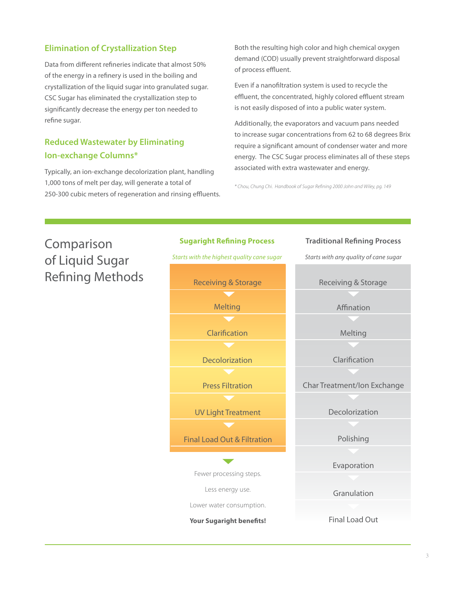# **Elimination of Crystallization Step**

Data from different refineries indicate that almost 50% of the energy in a refinery is used in the boiling and crystallization of the liquid sugar into granulated sugar. CSC Sugar has eliminated the crystallization step to significantly decrease the energy per ton needed to refine sugar.

# **Reduced Wastewater by Eliminating Ion-exchange Columns\***

Typically, an ion-exchange decolorization plant, handling 1,000 tons of melt per day, will generate a total of 250-300 cubic meters of regeneration and rinsing effluents. Both the resulting high color and high chemical oxygen demand (COD) usually prevent straightforward disposal of process effluent.

Even if a nanofiltration system is used to recycle the effluent, the concentrated, highly colored effluent stream is not easily disposed of into a public water system.

Additionally, the evaporators and vacuum pans needed to increase sugar concentrations from 62 to 68 degrees Brix require a significant amount of condenser water and more energy. The CSC Sugar process eliminates all of these steps associated with extra wastewater and energy.

*\* Chou, Chung Chi. Handbook of Sugar Refining 2000 John and Wiley, pg. 149*

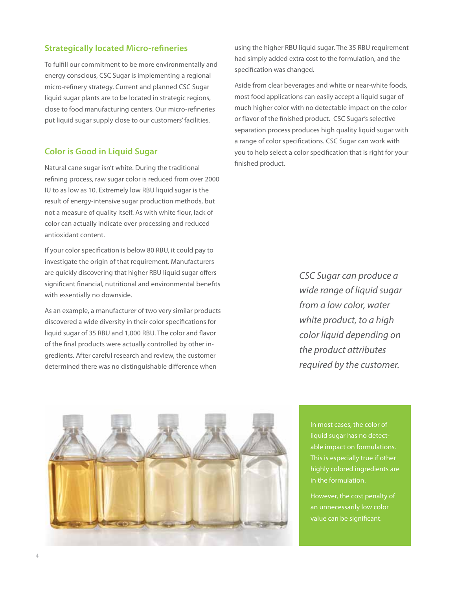#### **Strategically located Micro-refineries**

To fulfill our commitment to be more environmentally and energy conscious, CSC Sugar is implementing a regional micro-refinery strategy. Current and planned CSC Sugar liquid sugar plants are to be located in strategic regions, close to food manufacturing centers. Our micro-refineries put liquid sugar supply close to our customers' facilities.

# **Color is Good in Liquid Sugar**

Natural cane sugar isn't white. During the traditional refining process, raw sugar color is reduced from over 2000 IU to as low as 10. Extremely low RBU liquid sugar is the result of energy-intensive sugar production methods, but not a measure of quality itself. As with white flour, lack of color can actually indicate over processing and reduced antioxidant content.

If your color specification is below 80 RBU, it could pay to investigate the origin of that requirement. Manufacturers are quickly discovering that higher RBU liquid sugar offers significant financial, nutritional and environmental benefits with essentially no downside.

As an example, a manufacturer of two very similar products discovered a wide diversity in their color specifications for liquid sugar of 35 RBU and 1,000 RBU. The color and flavor of the final products were actually controlled by other ingredients. After careful research and review, the customer determined there was no distinguishable difference when

using the higher RBU liquid sugar. The 35 RBU requirement had simply added extra cost to the formulation, and the specification was changed.

Aside from clear beverages and white or near-white foods, most food applications can easily accept a liquid sugar of much higher color with no detectable impact on the color or flavor of the finished product. CSC Sugar's selective separation process produces high quality liquid sugar with a range of color specifications. CSC Sugar can work with you to help select a color specification that is right for your finished product.

> *CSC Sugar can produce a wide range of liquid sugar from a low color, water white product, to a high color liquid depending on the product attributes required by the customer.*



In most cases, the color of liquid sugar has no detectable impact on formulations. This is especially true if other highly colored ingredients are in the formulation.

However, the cost penalty of an unnecessarily low color value can be significant.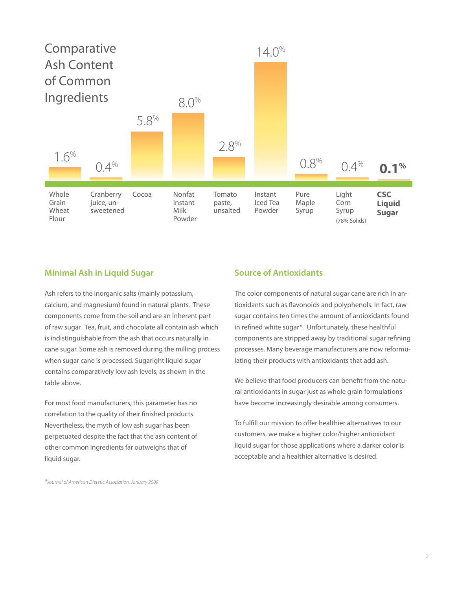

#### **Minimal Ash in Liquid Sugar**

Ash refers to the inorganic salts (mainly potassium, calcium, and magnesium) found in natural plants. These components come from the soil and are an inherent part of raw sugar. Tea, fruit, and chocolate all contain ash which is indistinguishable from the ash that occurs naturally in cane sugar. Some ash is removed during the milling process when sugar cane is processed. Sugaright liquid sugar contains comparatively low ash levels, as shown in the table above.

For most food manufacturers, this parameter has no correlation to the quality of their finished products. Nevertheless, the myth of low ash sugar has been perpetuated despite the fact that the ash content of other common ingredients far outweighs that of liquid sugar.

# **Source of Antioxidants**

The color components of natural sugar cane are rich in antioxidants such as flavonoids and polyphenols. In fact, raw sugar contains ten times the amount of antioxidants found in refined white sugar\*. Unfortunately, these healthful components are stripped away by traditional sugar refining processes. Many beverage manufacturers are now reformulating their products with antioxidants that add ash.

We believe that food producers can benefit from the natural antioxidants in sugar just as whole grain formulations have become increasingly desirable among consumers.

To fulfill our mission to offer healthier alternatives to our customers, we make a higher color/higher antioxidant liquid sugar for those applications where a darker color is acceptable and a healthier alternative is desired.

*\*Journal of American Dietetic Association, January 2009*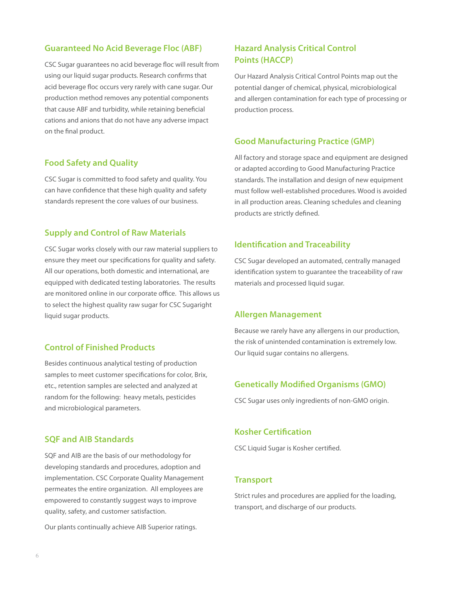#### **Guaranteed No Acid Beverage Floc (ABF)**

CSC Sugar guarantees no acid beverage floc will result from using our liquid sugar products. Research confirms that acid beverage floc occurs very rarely with cane sugar. Our production method removes any potential components that cause ABF and turbidity, while retaining beneficial cations and anions that do not have any adverse impact on the final product.

#### **Food Safety and Quality**

CSC Sugar is committed to food safety and quality. You can have confidence that these high quality and safety standards represent the core values of our business.

# **Supply and Control of Raw Materials**

CSC Sugar works closely with our raw material suppliers to ensure they meet our specifications for quality and safety. All our operations, both domestic and international, are equipped with dedicated testing laboratories. The results are monitored online in our corporate office. This allows us to select the highest quality raw sugar for CSC Sugaright liquid sugar products.

# **Control of Finished Products**

Besides continuous analytical testing of production samples to meet customer specifications for color, Brix, etc., retention samples are selected and analyzed at random for the following: heavy metals, pesticides and microbiological parameters.

# **SQF and AIB Standards**

SQF and AIB are the basis of our methodology for developing standards and procedures, adoption and implementation. CSC Corporate Quality Management permeates the entire organization. All employees are empowered to constantly suggest ways to improve quality, safety, and customer satisfaction.

Our plants continually achieve AIB Superior ratings.

# **Hazard Analysis Critical Control Points (HACCP)**

Our Hazard Analysis Critical Control Points map out the potential danger of chemical, physical, microbiological and allergen contamination for each type of processing or production process.

#### **Good Manufacturing Practice (GMP)**

All factory and storage space and equipment are designed or adapted according to Good Manufacturing Practice standards. The installation and design of new equipment must follow well-established procedures. Wood is avoided in all production areas. Cleaning schedules and cleaning products are strictly defined.

#### **Identification and Traceability**

CSC Sugar developed an automated, centrally managed identification system to guarantee the traceability of raw materials and processed liquid sugar.

#### **Allergen Management**

Because we rarely have any allergens in our production, the risk of unintended contamination is extremely low. Our liquid sugar contains no allergens.

#### **Genetically Modified Organisms (GMO)**

CSC Sugar uses only ingredients of non-GMO origin.

#### **Kosher Certification**

CSC Liquid Sugar is Kosher certified.

#### **Transport**

Strict rules and procedures are applied for the loading, transport, and discharge of our products.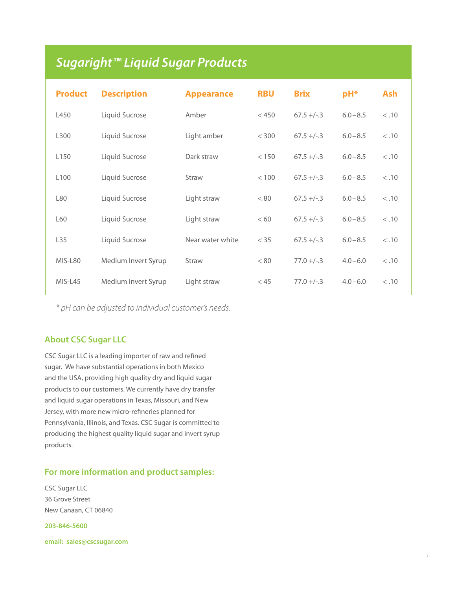# *Sugaright™ Liquid Sugar Products*

| <b>Product</b>   | <b>Description</b>  | <b>Appearance</b> | <b>RBU</b> | <b>Brix</b> | $pH*$       | <b>Ash</b> |
|------------------|---------------------|-------------------|------------|-------------|-------------|------------|
| L450             | Liquid Sucrose      | Amber             | < 450      | $67.5 +/-3$ | $6.0 - 8.5$ | < .10      |
| L300             | Liquid Sucrose      | Light amber       | < 300      | $67.5 +/-3$ | $6.0 - 8.5$ | < .10      |
| L <sub>150</sub> | Liquid Sucrose      | Dark straw        | < 150      | $67.5 +/-3$ | $6.0 - 8.5$ | < .10      |
| L <sub>100</sub> | Liquid Sucrose      | Straw             | < 100      | $67.5 +/-3$ | $6.0 - 8.5$ | < .10      |
| L80              | Liquid Sucrose      | Light straw       | < 80       | $67.5 +/-3$ | $6.0 - 8.5$ | < .10      |
| L60              | Liquid Sucrose      | Light straw       | <60        | $67.5 +/-3$ | $6.0 - 8.5$ | < .10      |
| L35              | Liquid Sucrose      | Near water white  | $<$ 35     | $67.5 +/-3$ | $6.0 - 8.5$ | < .10      |
| MIS-L80          | Medium Invert Syrup | Straw             | < 80       | $77.0 +/-3$ | $4.0 - 6.0$ | < .10      |
| MIS-L45          | Medium Invert Syrup | Light straw       | < 45       | $77.0 +/-3$ | $4.0 - 6.0$ | < .10      |

*\* pH can be adjusted to individual customer's needs.* 

# **About CSC Sugar LLC**

CSC Sugar LLC is a leading importer of raw and refined sugar. We have substantial operations in both Mexico and the USA, providing high quality dry and liquid sugar products to our customers. We currently have dry transfer and liquid sugar operations in Texas, Missouri, and New Jersey, with more new micro-refineries planned for Pennsylvania, Illinois, and Texas. CSC Sugar is committed to producing the highest quality liquid sugar and invert syrup products.

# **For more information and product samples:**

CSC Sugar LLC 36 Grove Street New Canaan, CT 06840

**203-846-5600** 

**email: sales@cscsugar.com**